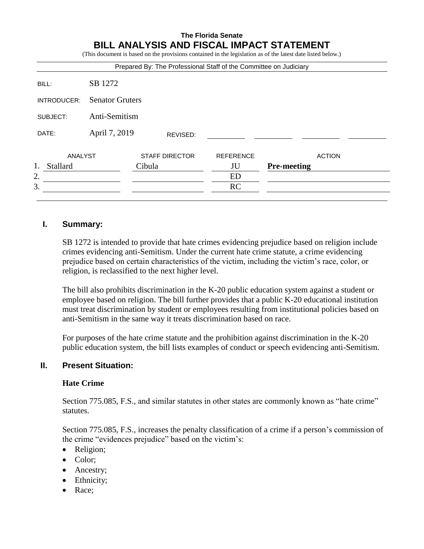## **The Florida Senate BILL ANALYSIS AND FISCAL IMPACT STATEMENT**

(This document is based on the provisions contained in the legislation as of the latest date listed below.)

| SB 1272<br><b>Senator Gruters</b><br>Anti-Semitism |                  |                    |
|----------------------------------------------------|------------------|--------------------|
|                                                    |                  |                    |
|                                                    |                  |                    |
|                                                    |                  |                    |
| REVISED:                                           |                  |                    |
| <b>STAFF DIRECTOR</b>                              | <b>REFERENCE</b> | <b>ACTION</b>      |
| Cibula                                             | JU               | <b>Pre-meeting</b> |
|                                                    | <b>ED</b>        |                    |
|                                                    | RC               |                    |
|                                                    | April 7, 2019    |                    |

### **I. Summary:**

SB 1272 is intended to provide that hate crimes evidencing prejudice based on religion include crimes evidencing anti-Semitism. Under the current hate crime statute, a crime evidencing prejudice based on certain characteristics of the victim, including the victim's race, color, or religion, is reclassified to the next higher level.

The bill also prohibits discrimination in the K-20 public education system against a student or employee based on religion. The bill further provides that a public K-20 educational institution must treat discrimination by student or employees resulting from institutional policies based on anti-Semitism in the same way it treats discrimination based on race.

For purposes of the hate crime statute and the prohibition against discrimination in the K-20 public education system, the bill lists examples of conduct or speech evidencing anti-Semitism.

## **II. Present Situation:**

#### **Hate Crime**

Section 775.085, F.S., and similar statutes in other states are commonly known as "hate crime" statutes.

Section 775.085, F.S., increases the penalty classification of a crime if a person's commission of the crime "evidences prejudice" based on the victim's:

- Religion;
- Color;
- Ancestry;
- Ethnicity;
- Race: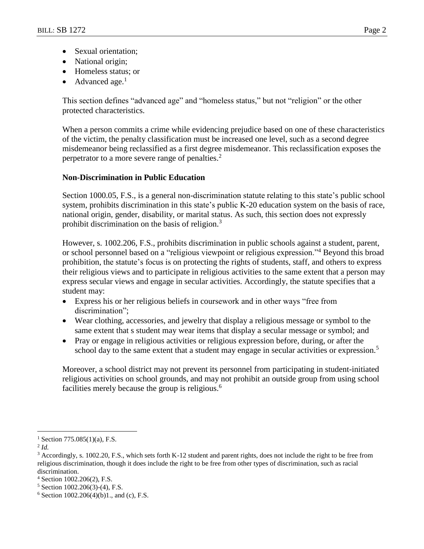- Sexual orientation:
- National origin;
- Homeless status; or
- Advanced age. $<sup>1</sup>$ </sup>

This section defines "advanced age" and "homeless status," but not "religion" or the other protected characteristics.

When a person commits a crime while evidencing prejudice based on one of these characteristics of the victim, the penalty classification must be increased one level, such as a second degree misdemeanor being reclassified as a first degree misdemeanor. This reclassification exposes the perpetrator to a more severe range of penalties.<sup>2</sup>

### **Non-Discrimination in Public Education**

Section 1000.05, F.S., is a general non-discrimination statute relating to this state's public school system, prohibits discrimination in this state's public K-20 education system on the basis of race, national origin, gender, disability, or marital status. As such, this section does not expressly prohibit discrimination on the basis of religion. $3$ 

However, s. 1002.206, F.S., prohibits discrimination in public schools against a student, parent, or school personnel based on a "religious viewpoint or religious expression."<sup>4</sup> Beyond this broad prohibition, the statute's focus is on protecting the rights of students, staff, and others to express their religious views and to participate in religious activities to the same extent that a person may express secular views and engage in secular activities. Accordingly, the statute specifies that a student may:

- Express his or her religious beliefs in coursework and in other ways "free from discrimination";
- Wear clothing, accessories, and jewelry that display a religious message or symbol to the same extent that s student may wear items that display a secular message or symbol; and
- Pray or engage in religious activities or religious expression before, during, or after the school day to the same extent that a student may engage in secular activities or expression.<sup>5</sup>

Moreover, a school district may not prevent its personnel from participating in student-initiated religious activities on school grounds, and may not prohibit an outside group from using school facilities merely because the group is religious.<sup>6</sup>

 $\overline{a}$ 

<sup>&</sup>lt;sup>1</sup> Section 775.085(1)(a), F.S.

<sup>2</sup> *Id.*

 $3$  Accordingly, s. 1002.20, F.S., which sets forth K-12 student and parent rights, does not include the right to be free from religious discrimination, though it does include the right to be free from other types of discrimination, such as racial discrimination.

<sup>4</sup> Section 1002.206(2), F.S.

<sup>5</sup> Section 1002.206(3)-(4), F.S.

 $6$  Section 1002.206(4)(b)1., and (c), F.S.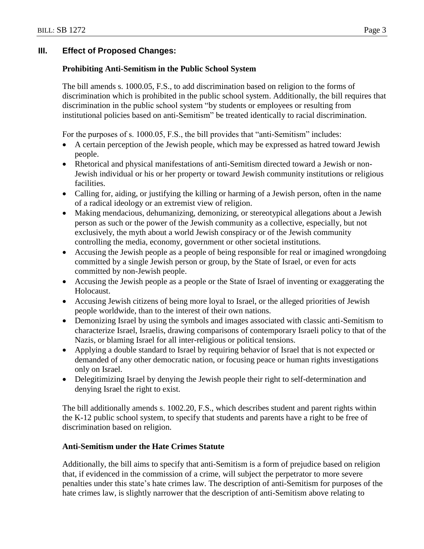## **III. Effect of Proposed Changes:**

## **Prohibiting Anti-Semitism in the Public School System**

The bill amends s. 1000.05, F.S., to add discrimination based on religion to the forms of discrimination which is prohibited in the public school system. Additionally, the bill requires that discrimination in the public school system "by students or employees or resulting from institutional policies based on anti-Semitism" be treated identically to racial discrimination.

For the purposes of s. 1000.05, F.S., the bill provides that "anti-Semitism" includes:

- A certain perception of the Jewish people, which may be expressed as hatred toward Jewish people.
- Rhetorical and physical manifestations of anti-Semitism directed toward a Jewish or non-Jewish individual or his or her property or toward Jewish community institutions or religious facilities.
- Calling for, aiding, or justifying the killing or harming of a Jewish person, often in the name of a radical ideology or an extremist view of religion.
- Making mendacious, dehumanizing, demonizing, or stereotypical allegations about a Jewish person as such or the power of the Jewish community as a collective, especially, but not exclusively, the myth about a world Jewish conspiracy or of the Jewish community controlling the media, economy, government or other societal institutions.
- Accusing the Jewish people as a people of being responsible for real or imagined wrongdoing committed by a single Jewish person or group, by the State of Israel, or even for acts committed by non-Jewish people.
- Accusing the Jewish people as a people or the State of Israel of inventing or exaggerating the Holocaust.
- Accusing Jewish citizens of being more loyal to Israel, or the alleged priorities of Jewish people worldwide, than to the interest of their own nations.
- Demonizing Israel by using the symbols and images associated with classic anti-Semitism to characterize Israel, Israelis, drawing comparisons of contemporary Israeli policy to that of the Nazis, or blaming Israel for all inter-religious or political tensions.
- Applying a double standard to Israel by requiring behavior of Israel that is not expected or demanded of any other democratic nation, or focusing peace or human rights investigations only on Israel.
- Delegitimizing Israel by denying the Jewish people their right to self-determination and denying Israel the right to exist.

The bill additionally amends s. 1002.20, F.S., which describes student and parent rights within the K-12 public school system, to specify that students and parents have a right to be free of discrimination based on religion.

## **Anti-Semitism under the Hate Crimes Statute**

Additionally, the bill aims to specify that anti-Semitism is a form of prejudice based on religion that, if evidenced in the commission of a crime, will subject the perpetrator to more severe penalties under this state's hate crimes law. The description of anti-Semitism for purposes of the hate crimes law, is slightly narrower that the description of anti-Semitism above relating to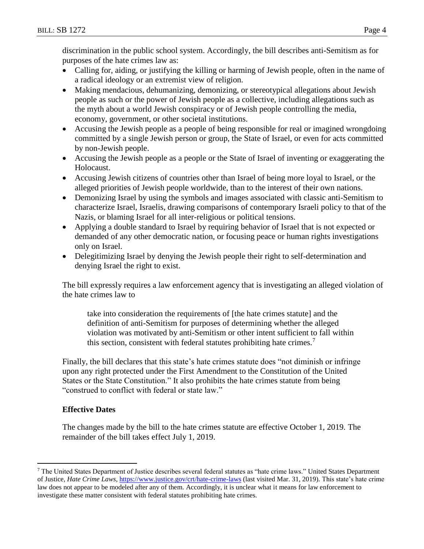discrimination in the public school system. Accordingly, the bill describes anti-Semitism as for purposes of the hate crimes law as:

- Calling for, aiding, or justifying the killing or harming of Jewish people, often in the name of a radical ideology or an extremist view of religion.
- Making mendacious, dehumanizing, demonizing, or stereotypical allegations about Jewish people as such or the power of Jewish people as a collective, including allegations such as the myth about a world Jewish conspiracy or of Jewish people controlling the media, economy, government, or other societal institutions.
- Accusing the Jewish people as a people of being responsible for real or imagined wrongdoing committed by a single Jewish person or group, the State of Israel, or even for acts committed by non-Jewish people.
- Accusing the Jewish people as a people or the State of Israel of inventing or exaggerating the Holocaust.
- Accusing Jewish citizens of countries other than Israel of being more loyal to Israel, or the alleged priorities of Jewish people worldwide, than to the interest of their own nations.
- Demonizing Israel by using the symbols and images associated with classic anti-Semitism to characterize Israel, Israelis, drawing comparisons of contemporary Israeli policy to that of the Nazis, or blaming Israel for all inter-religious or political tensions.
- Applying a double standard to Israel by requiring behavior of Israel that is not expected or demanded of any other democratic nation, or focusing peace or human rights investigations only on Israel.
- Delegitimizing Israel by denying the Jewish people their right to self-determination and denying Israel the right to exist.

The bill expressly requires a law enforcement agency that is investigating an alleged violation of the hate crimes law to

take into consideration the requirements of [the hate crimes statute] and the definition of anti-Semitism for purposes of determining whether the alleged violation was motivated by anti-Semitism or other intent sufficient to fall within this section, consistent with federal statutes prohibiting hate crimes.<sup>7</sup>

Finally, the bill declares that this state's hate crimes statute does "not diminish or infringe upon any right protected under the First Amendment to the Constitution of the United States or the State Constitution." It also prohibits the hate crimes statute from being "construed to conflict with federal or state law."

# **Effective Dates**

 $\overline{a}$ 

The changes made by the bill to the hate crimes statute are effective October 1, 2019. The remainder of the bill takes effect July 1, 2019.

<sup>7</sup> The United States Department of Justice describes several federal statutes as "hate crime laws." United States Department of Justice, *Hate Crime Laws*, <https://www.justice.gov/crt/hate-crime-laws> (last visited Mar. 31, 2019). This state's hate crime law does not appear to be modeled after any of them. Accordingly, it is unclear what it means for law enforcement to investigate these matter consistent with federal statutes prohibiting hate crimes.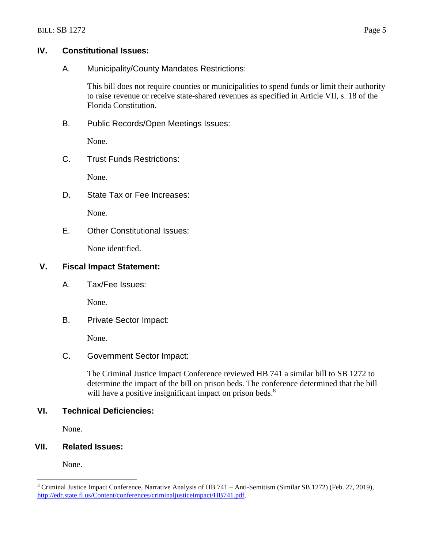### **IV. Constitutional Issues:**

A. Municipality/County Mandates Restrictions:

This bill does not require counties or municipalities to spend funds or limit their authority to raise revenue or receive state-shared revenues as specified in Article VII, s. 18 of the Florida Constitution.

B. Public Records/Open Meetings Issues:

None.

C. Trust Funds Restrictions:

None.

D. State Tax or Fee Increases:

None.

E. Other Constitutional Issues:

None identified.

## **V. Fiscal Impact Statement:**

A. Tax/Fee Issues:

None.

B. Private Sector Impact:

None.

## C. Government Sector Impact:

The Criminal Justice Impact Conference reviewed HB 741 a similar bill to SB 1272 to determine the impact of the bill on prison beds. The conference determined that the bill will have a positive insignificant impact on prison beds.<sup>8</sup>

## **VI. Technical Deficiencies:**

None.

# **VII. Related Issues:**

None.

 $\overline{a}$ 

<sup>8</sup> Criminal Justice Impact Conference, Narrative Analysis of HB 741 – Anti-Semitism (Similar SB 1272) (Feb. 27, 2019), [http://edr.state.fl.us/Content/conferences/criminaljusticeimpact/HB741.pdf.](http://edr.state.fl.us/Content/conferences/criminaljusticeimpact/HB741.pdf)